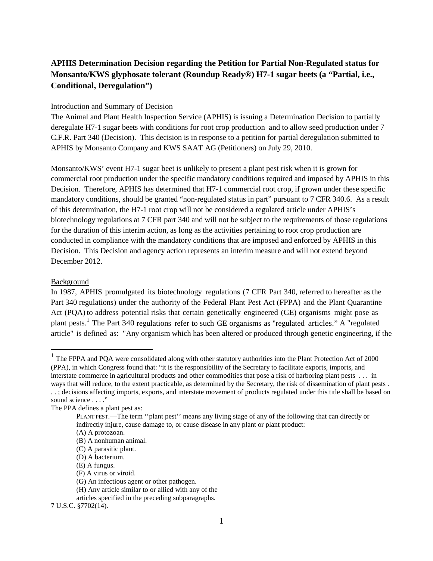# **APHIS Determination Decision regarding the Petition for Partial Non-Regulated status for Monsanto/KWS glyphosate tolerant (Roundup Ready®) H7-1 sugar beets (a "Partial, i.e., Conditional, Deregulation")**

### Introduction and Summary of Decision

The Animal and Plant Health Inspection Service (APHIS) is issuing a Determination Decision to partially deregulate H7-1 sugar beets with conditions for root crop production and to allow seed production under 7 C.F.R. Part 340 (Decision). This decision is in response to a petition for partial deregulation submitted to APHIS by Monsanto Company and KWS SAAT AG (Petitioners) on July 29, 2010.

Monsanto/KWS' event H7-1 sugar beet is unlikely to present a plant pest risk when it is grown for commercial root production under the specific mandatory conditions required and imposed by APHIS in this Decision. Therefore, APHIS has determined that H7-1 commercial root crop, if grown under these specific mandatory conditions, should be granted "non-regulated status in part" pursuant to 7 CFR 340.6. As a result of this determination, the H7-1 root crop will not be considered a regulated article under APHIS's biotechnology regulations at 7 CFR part 340 and will not be subject to the requirements of those regulations for the duration of this interim action, as long as the activities pertaining to root crop production are conducted in compliance with the mandatory conditions that are imposed and enforced by APHIS in this Decision. This Decision and agency action represents an interim measure and will not extend beyond December 2012.

### Background

In 1987, APHIS promulgated its biotechnology regulations (7 CFR Part 340, referred to hereafter as the Part 340 regulations) under the authority of the Federal Plant Pest Act (FPPA) and the Plant Quarantine Act (PQA) to address potential risks that certain genetically engineered (GE) organisms might pose as plant pests.<sup>[1](#page-0-0)</sup> The Part 340 regulations refer to such GE organisms as "regulated articles." A "regulated article" is defined as: "Any organism which has been altered or produced through genetic engineering, if the

<span id="page-0-0"></span> $1$  The FPPA and PQA were consolidated along with other statutory authorities into the Plant Protection Act of 2000 (PPA), in which Congress found that: "it is the responsibility of the Secretary to facilitate exports, imports, and interstate commerce in agricultural products and other commodities that pose a risk of harboring plant pests . . . in ways that will reduce, to the extent practicable, as determined by the Secretary, the risk of dissemination of plant pests . . . ; decisions affecting imports, exports, and interstate movement of products regulated under this title shall be based on sound science . . . ."

7 U.S.C. §7702(14).

The PPA defines a plant pest as:

PLANT PEST.—The term ''plant pest'' means any living stage of any of the following that can directly or indirectly injure, cause damage to, or cause disease in any plant or plant product:

<sup>(</sup>A) A protozoan.

<sup>(</sup>B) A nonhuman animal.

<sup>(</sup>C) A parasitic plant.

<sup>(</sup>D) A bacterium.

<sup>(</sup>E) A fungus.

<sup>(</sup>F) A virus or viroid.

<sup>(</sup>G) An infectious agent or other pathogen.

<sup>(</sup>H) Any article similar to or allied with any of the

articles specified in the preceding subparagraphs.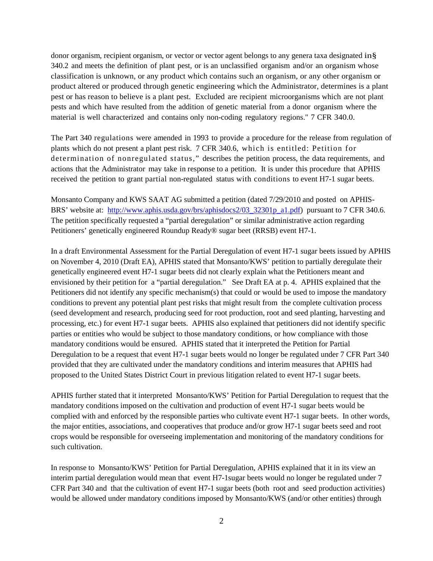donor organism, recipient organism, or vector or vector agent belongs to any genera taxa designated in§ 340.2 and meets the definition of plant pest, or is an unclassified organism and/or an organism whose classification is unknown, or any product which contains such an organism, or any other organism or product altered or produced through genetic engineering which the Administrator, determines is a plant pest or has reason to believe is a plant pest. Excluded are recipient microorganisms which are not plant pests and which have resulted from the addition of genetic material from a donor organism where the material is well characterized and contains only non-coding regulatory regions." 7 CFR 340.0.

The Part 340 regulations were amended in 1993 to provide a procedure for the release from regulation of plants which do not present a plant pest risk. 7 CFR 340.6, which is entitled: Petition for determination of nonregulated status," describes the petition process, the data requirements, and actions that the Administrator may take in response to a petition. It is under this procedure that APHIS received the petition to grant partial non-regulated status with conditions to event H7-1 sugar beets.

Monsanto Company and KWS SAAT AG submitted a petition (dated 7/29/2010 and posted on APHISBRS' website at: [http://www.aphis.usda.gov/brs/aphisdocs2/03\\_32301p\\_a1.pdf\)](http://www.aphis.usda.gov/brs/aphisdocs2/03_32301p_a1.pdf) pursuant to 7 CFR 340.6. The petition specifically requested a "partial deregulation" or similar administrative action regarding Petitioners' genetically engineered Roundup Ready® sugar beet (RRSB) event H7-1.

In a draft Environmental Assessment for the Partial Deregulation of event H7-1 sugar beets issued by APHIS on November 4, 2010 (Draft EA), APHIS stated that Monsanto/KWS' petition to partially deregulate their genetically engineered event H7-1 sugar beets did not clearly explain what the Petitioners meant and envisioned by their petition for a "partial deregulation." See Draft EA at p. 4. APHIS explained that the Petitioners did not identify any specific mechanism(s) that could or would be used to impose the mandatory conditions to prevent any potential plant pest risks that might result from the complete cultivation process (seed development and research, producing seed for root production, root and seed planting, harvesting and processing, etc.) for event H7-1 sugar beets. APHIS also explained that petitioners did not identify specific parties or entities who would be subject to those mandatory conditions, or how compliance with those mandatory conditions would be ensured. APHIS stated that it interpreted the Petition for Partial Deregulation to be a request that event H7-1 sugar beets would no longer be regulated under 7 CFR Part 340 provided that they are cultivated under the mandatory conditions and interim measures that APHIS had proposed to the United States District Court in previous litigation related to event H7-1 sugar beets.

APHIS further stated that it interpreted Monsanto/KWS' Petition for Partial Deregulation to request that the mandatory conditions imposed on the cultivation and production of event H7-1 sugar beets would be complied with and enforced by the responsible parties who cultivate event H7-1 sugar beets. In other words, the major entities, associations, and cooperatives that produce and/or grow H7-1 sugar beets seed and root crops would be responsible for overseeing implementation and monitoring of the mandatory conditions for such cultivation.

In response to Monsanto/KWS' Petition for Partial Deregulation, APHIS explained that it in its view an interim partial deregulation would mean that event H7-1sugar beets would no longer be regulated under 7 CFR Part 340 and that the cultivation of event H7-1 sugar beets (both root and seed production activities) would be allowed under mandatory conditions imposed by Monsanto/KWS (and/or other entities) through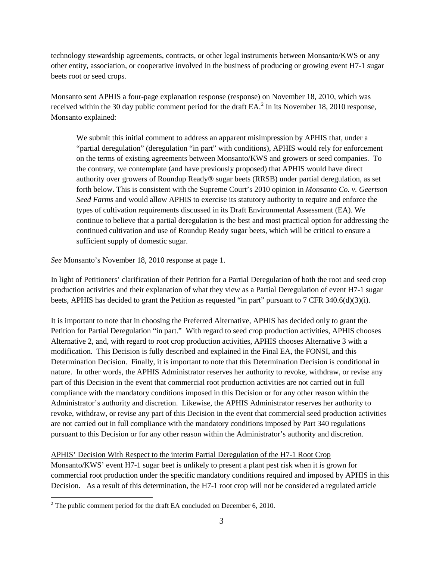technology stewardship agreements, contracts, or other legal instruments between Monsanto/KWS or any other entity, association, or cooperative involved in the business of producing or growing event H7-1 sugar beets root or seed crops.

Monsanto sent APHIS a four-page explanation response (response) on November 18, 2010, which was received within the 30 day public comment period for the draft  $EA$ <sup>[2](#page-2-0)</sup>. In its November 18, 2010 response, Monsanto explained:

We submit this initial comment to address an apparent misimpression by APHIS that, under a "partial deregulation" (deregulation "in part" with conditions), APHIS would rely for enforcement on the terms of existing agreements between Monsanto/KWS and growers or seed companies. To the contrary, we contemplate (and have previously proposed) that APHIS would have direct authority over growers of Roundup Ready® sugar beets (RRSB) under partial deregulation, as set forth below. This is consistent with the Supreme Court's 2010 opinion in *Monsanto Co. v. Geertson Seed Farms* and would allow APHIS to exercise its statutory authority to require and enforce the types of cultivation requirements discussed in its Draft Environmental Assessment (EA). We continue to believe that a partial deregulation is the best and most practical option for addressing the continued cultivation and use of Roundup Ready sugar beets, which will be critical to ensure a sufficient supply of domestic sugar.

*See* Monsanto's November 18, 2010 response at page 1.

In light of Petitioners' clarification of their Petition for a Partial Deregulation of both the root and seed crop production activities and their explanation of what they view as a Partial Deregulation of event H7-1 sugar beets, APHIS has decided to grant the Petition as requested "in part" pursuant to 7 CFR 340.6(d)(3)(i).

It is important to note that in choosing the Preferred Alternative, APHIS has decided only to grant the Petition for Partial Deregulation "in part." With regard to seed crop production activities, APHIS chooses Alternative 2, and, with regard to root crop production activities, APHIS chooses Alternative 3 with a modification. This Decision is fully described and explained in the Final EA, the FONSI, and this Determination Decision. Finally, it is important to note that this Determination Decision is conditional in nature. In other words, the APHIS Administrator reserves her authority to revoke, withdraw, or revise any part of this Decision in the event that commercial root production activities are not carried out in full compliance with the mandatory conditions imposed in this Decision or for any other reason within the Administrator's authority and discretion. Likewise, the APHIS Administrator reserves her authority to revoke, withdraw, or revise any part of this Decision in the event that commercial seed production activities are not carried out in full compliance with the mandatory conditions imposed by Part 340 regulations pursuant to this Decision or for any other reason within the Administrator's authority and discretion.

## APHIS' Decision With Respect to the interim Partial Deregulation of the H7-1 Root Crop

Monsanto/KWS' event H7-1 sugar beet is unlikely to present a plant pest risk when it is grown for commercial root production under the specific mandatory conditions required and imposed by APHIS in this Decision. As a result of this determination, the H7-1 root crop will not be considered a regulated article

<span id="page-2-0"></span> $2$  The public comment period for the draft EA concluded on December 6, 2010.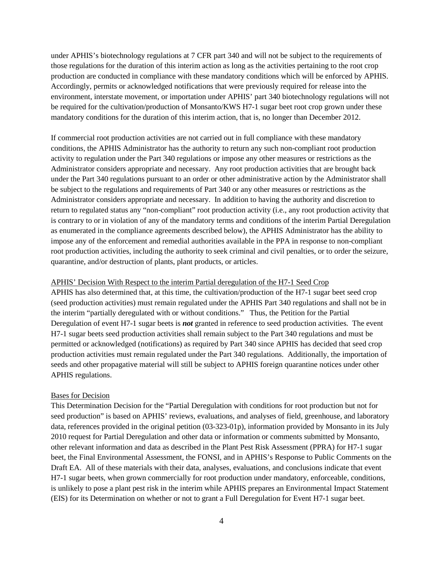under APHIS's biotechnology regulations at 7 CFR part 340 and will not be subject to the requirements of those regulations for the duration of this interim action as long as the activities pertaining to the root crop production are conducted in compliance with these mandatory conditions which will be enforced by APHIS. Accordingly, permits or acknowledged notifications that were previously required for release into the environment, interstate movement, or importation under APHIS' part 340 biotechnology regulations will not be required for the cultivation/production of Monsanto/KWS H7-1 sugar beet root crop grown under these mandatory conditions for the duration of this interim action, that is, no longer than December 2012.

If commercial root production activities are not carried out in full compliance with these mandatory conditions, the APHIS Administrator has the authority to return any such non-compliant root production activity to regulation under the Part 340 regulations or impose any other measures or restrictions as the Administrator considers appropriate and necessary. Any root production activities that are brought back under the Part 340 regulations pursuant to an order or other administrative action by the Administrator shall be subject to the regulations and requirements of Part 340 or any other measures or restrictions as the Administrator considers appropriate and necessary. In addition to having the authority and discretion to return to regulated status any "non-compliant" root production activity (i.e., any root production activity that is contrary to or in violation of any of the mandatory terms and conditions of the interim Partial Deregulation as enumerated in the compliance agreements described below), the APHIS Administrator has the ability to impose any of the enforcement and remedial authorities available in the PPA in response to non-compliant root production activities, including the authority to seek criminal and civil penalties, or to order the seizure, quarantine, and/or destruction of plants, plant products, or articles.

### APHIS' Decision With Respect to the interim Partial deregulation of the H7-1 Seed Crop

APHIS has also determined that, at this time, the cultivation/production of the H7-1 sugar beet seed crop (seed production activities) must remain regulated under the APHIS Part 340 regulations and shall not be in the interim "partially deregulated with or without conditions." Thus, the Petition for the Partial Deregulation of event H7-1 sugar beets is *not* granted in reference to seed production activities. The event H7-1 sugar beets seed production activities shall remain subject to the Part 340 regulations and must be permitted or acknowledged (notifications) as required by Part 340 since APHIS has decided that seed crop production activities must remain regulated under the Part 340 regulations. Additionally, the importation of seeds and other propagative material will still be subject to APHIS foreign quarantine notices under other APHIS regulations.

### Bases for Decision

This Determination Decision for the "Partial Deregulation with conditions for root production but not for seed production" is based on APHIS' reviews, evaluations, and analyses of field, greenhouse, and laboratory data, references provided in the original petition (03-323-01p), information provided by Monsanto in its July 2010 request for Partial Deregulation and other data or information or comments submitted by Monsanto, other relevant information and data as described in the Plant Pest Risk Assessment (PPRA) for H7-1 sugar beet, the Final Environmental Assessment, the FONSI, and in APHIS's Response to Public Comments on the Draft EA. All of these materials with their data, analyses, evaluations, and conclusions indicate that event H7-1 sugar beets, when grown commercially for root production under mandatory, enforceable, conditions, is unlikely to pose a plant pest risk in the interim while APHIS prepares an Environmental Impact Statement (EIS) for its Determination on whether or not to grant a Full Deregulation for Event H7-1 sugar beet.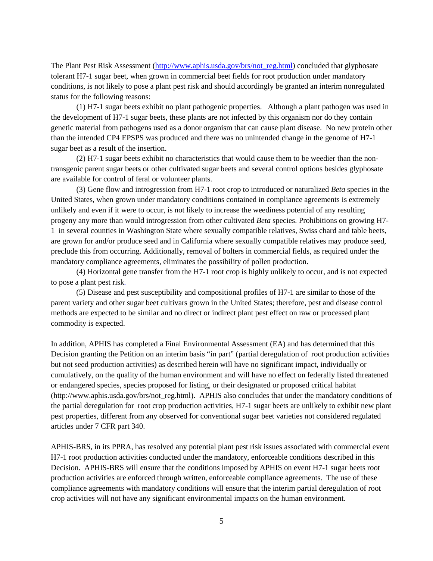The Plant Pest Risk Assessment (http://www.aphis.usda.gov/brs/not\_reg.html) concluded that glyphosate tolerant H7-1 sugar beet, when grown in commercial beet fields for root production under mandatory conditions, is not likely to pose a plant pest risk and should accordingly be granted an interim nonregulated status for the following reasons:

(1) H7-1 sugar beets exhibit no plant pathogenic properties. Although a plant pathogen was used in the development of H7-1 sugar beets, these plants are not infected by this organism nor do they contain genetic material from pathogens used as a donor organism that can cause plant disease. No new protein other than the intended CP4 EPSPS was produced and there was no unintended change in the genome of H7-1 sugar beet as a result of the insertion.

(2) H7-1 sugar beets exhibit no characteristics that would cause them to be weedier than the nontransgenic parent sugar beets or other cultivated sugar beets and several control options besides glyphosate are available for control of feral or volunteer plants.

(3) Gene flow and introgression from H7-1 root crop to introduced or naturalized *Beta* species in the United States, when grown under mandatory conditions contained in compliance agreements is extremely unlikely and even if it were to occur, is not likely to increase the weediness potential of any resulting progeny any more than would introgression from other cultivated *Beta* species. Prohibitions on growing H7- 1 in several counties in Washington State where sexually compatible relatives, Swiss chard and table beets, are grown for and/or produce seed and in California where sexually compatible relatives may produce seed, preclude this from occurring. Additionally, removal of bolters in commercial fields, as required under the mandatory compliance agreements, eliminates the possibility of pollen production.

(4) Horizontal gene transfer from the H7-1 root crop is highly unlikely to occur, and is not expected to pose a plant pest risk.

(5) Disease and pest susceptibility and compositional profiles of H7-1 are similar to those of the parent variety and other sugar beet cultivars grown in the United States; therefore, pest and disease control methods are expected to be similar and no direct or indirect plant pest effect on raw or processed plant commodity is expected.

In addition, APHIS has completed a Final Environmental Assessment (EA) and has determined that this Decision granting the Petition on an interim basis "in part" (partial deregulation of root production activities but not seed production activities) as described herein will have no significant impact, individually or cumulatively, on the quality of the human environment and will have no effect on federally listed threatened or endangered species, species proposed for listing, or their designated or proposed critical habitat (http://www.aphis.usda.gov/brs/not\_reg.html). APHIS also concludes that under the mandatory conditions of the partial deregulation for root crop production activities, H7-1 sugar beets are unlikely to exhibit new plant pest properties, different from any observed for conventional sugar beet varieties not considered regulated articles under 7 CFR part 340.

APHIS-BRS, in its PPRA, has resolved any potential plant pest risk issues associated with commercial event H7-1 root production activities conducted under the mandatory, enforceable conditions described in this Decision. APHIS-BRS will ensure that the conditions imposed by APHIS on event H7-1 sugar beets root production activities are enforced through written, enforceable compliance agreements. The use of these compliance agreements with mandatory conditions will ensure that the interim partial deregulation of root crop activities will not have any significant environmental impacts on the human environment.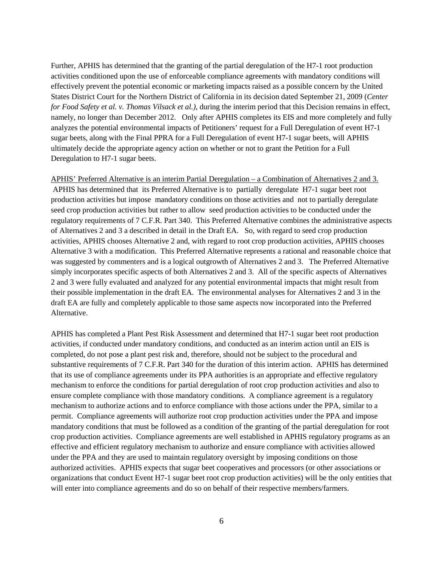Further, APHIS has determined that the granting of the partial deregulation of the H7-1 root production activities conditioned upon the use of enforceable compliance agreements with mandatory conditions will effectively prevent the potential economic or marketing impacts raised as a possible concern by the United States District Court for the Northern District of California in its decision dated September 21, 2009 (*Center for Food Safety et al. v. Thomas Vilsack et al.),* during the interim period that this Decision remains in effect, namely, no longer than December 2012. Only after APHIS completes its EIS and more completely and fully analyzes the potential environmental impacts of Petitioners' request for a Full Deregulation of event H7-1 sugar beets, along with the Final PPRA for a Full Deregulation of event H7-1 sugar beets, will APHIS ultimately decide the appropriate agency action on whether or not to grant the Petition for a Full Deregulation to H7-1 sugar beets.

APHIS' Preferred Alternative is an interim Partial Deregulation – a Combination of Alternatives 2 and 3. APHIS has determined that its Preferred Alternative is to partially deregulate H7-1 sugar beet root production activities but impose mandatory conditions on those activities and not to partially deregulate seed crop production activities but rather to allow seed production activities to be conducted under the regulatory requirements of 7 C.F.R. Part 340. This Preferred Alternative combines the administrative aspects of Alternatives 2 and 3 a described in detail in the Draft EA. So, with regard to seed crop production activities, APHIS chooses Alternative 2 and, with regard to root crop production activities, APHIS chooses Alternative 3 with a modification. This Preferred Alternative represents a rational and reasonable choice that was suggested by commenters and is a logical outgrowth of Alternatives 2 and 3. The Preferred Alternative simply incorporates specific aspects of both Alternatives 2 and 3. All of the specific aspects of Alternatives 2 and 3 were fully evaluated and analyzed for any potential environmental impacts that might result from their possible implementation in the draft EA. The environmental analyses for Alternatives 2 and 3 in the draft EA are fully and completely applicable to those same aspects now incorporated into the Preferred Alternative.

APHIS has completed a Plant Pest Risk Assessment and determined that H7-1 sugar beet root production activities, if conducted under mandatory conditions, and conducted as an interim action until an EIS is completed, do not pose a plant pest risk and, therefore, should not be subject to the procedural and substantive requirements of 7 C.F.R. Part 340 for the duration of this interim action. APHIS has determined that its use of compliance agreements under its PPA authorities is an appropriate and effective regulatory mechanism to enforce the conditions for partial deregulation of root crop production activities and also to ensure complete compliance with those mandatory conditions. A compliance agreement is a regulatory mechanism to authorize actions and to enforce compliance with those actions under the PPA, similar to a permit. Compliance agreements will authorize root crop production activities under the PPA and impose mandatory conditions that must be followed as a condition of the granting of the partial deregulation for root crop production activities. Compliance agreements are well established in APHIS regulatory programs as an effective and efficient regulatory mechanism to authorize and ensure compliance with activities allowed under the PPA and they are used to maintain regulatory oversight by imposing conditions on those authorized activities. APHIS expects that sugar beet cooperatives and processors (or other associations or organizations that conduct Event H7-1 sugar beet root crop production activities) will be the only entities that will enter into compliance agreements and do so on behalf of their respective members/farmers.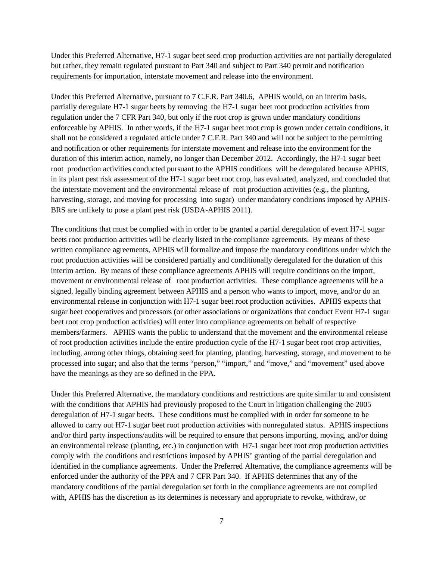Under this Preferred Alternative, H7-1 sugar beet seed crop production activities are not partially deregulated but rather, they remain regulated pursuant to Part 340 and subject to Part 340 permit and notification requirements for importation, interstate movement and release into the environment.

Under this Preferred Alternative, pursuant to 7 C.F.R. Part 340.6, APHIS would, on an interim basis, partially deregulate H7-1 sugar beets by removing the H7-1 sugar beet root production activities from regulation under the 7 CFR Part 340, but only if the root crop is grown under mandatory conditions enforceable by APHIS. In other words, if the H7-1 sugar beet root crop is grown under certain conditions, it shall not be considered a regulated article under 7 C.F.R. Part 340 and will not be subject to the permitting and notification or other requirements for interstate movement and release into the environment for the duration of this interim action, namely, no longer than December 2012. Accordingly, the H7-1 sugar beet root production activities conducted pursuant to the APHIS conditions will be deregulated because APHIS, in its plant pest risk assessment of the H7-1 sugar beet root crop, has evaluated, analyzed, and concluded that the interstate movement and the environmental release of root production activities (e.g., the planting, harvesting, storage, and moving for processing into sugar) under mandatory conditions imposed by APHIS-BRS are unlikely to pose a plant pest risk (USDA-APHIS 2011).

The conditions that must be complied with in order to be granted a partial deregulation of event H7-1 sugar beets root production activities will be clearly listed in the compliance agreements. By means of these written compliance agreements, APHIS will formalize and impose the mandatory conditions under which the root production activities will be considered partially and conditionally deregulated for the duration of this interim action. By means of these compliance agreements APHIS will require conditions on the import, movement or environmental release of root production activities. These compliance agreements will be a signed, legally binding agreement between APHIS and a person who wants to import, move, and/or do an environmental release in conjunction with H7-1 sugar beet root production activities. APHIS expects that sugar beet cooperatives and processors (or other associations or organizations that conduct Event H7-1 sugar beet root crop production activities) will enter into compliance agreements on behalf of respective members/farmers. APHIS wants the public to understand that the movement and the environmental release of root production activities include the entire production cycle of the H7-1 sugar beet root crop activities, including, among other things, obtaining seed for planting, planting, harvesting, storage, and movement to be processed into sugar; and also that the terms "person," "import," and "move," and "movement" used above have the meanings as they are so defined in the PPA.

Under this Preferred Alternative, the mandatory conditions and restrictions are quite similar to and consistent with the conditions that APHIS had previously proposed to the Court in litigation challenging the 2005 deregulation of H7-1 sugar beets. These conditions must be complied with in order for someone to be allowed to carry out H7-1 sugar beet root production activities with nonregulated status. APHIS inspections and/or third party inspections/audits will be required to ensure that persons importing, moving, and/or doing an environmental release (planting, etc.) in conjunction with H7-1 sugar beet root crop production activities comply with the conditions and restrictions imposed by APHIS' granting of the partial deregulation and identified in the compliance agreements. Under the Preferred Alternative, the compliance agreements will be enforced under the authority of the PPA and 7 CFR Part 340. If APHIS determines that any of the mandatory conditions of the partial deregulation set forth in the compliance agreements are not complied with, APHIS has the discretion as its determines is necessary and appropriate to revoke, withdraw, or